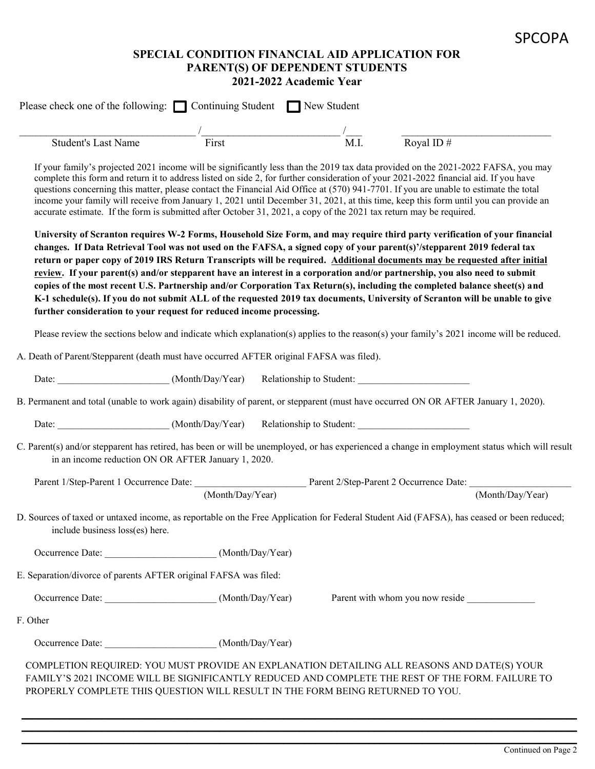#### **SPECIAL CONDITION FINANCIAL AID APPLICATION FOR PARENT(S) OF DEPENDENT STUDENTS 2021-2022 Academic Year**

| <b>Student's Last Name</b>      | First                                                                                                              | $\overline{M.I}$ . | Royal ID #                                                                                                                                                                                                                                                                                                                                                                                                                                                                                                                                                                                                                                                                                                                                                                   |
|---------------------------------|--------------------------------------------------------------------------------------------------------------------|--------------------|------------------------------------------------------------------------------------------------------------------------------------------------------------------------------------------------------------------------------------------------------------------------------------------------------------------------------------------------------------------------------------------------------------------------------------------------------------------------------------------------------------------------------------------------------------------------------------------------------------------------------------------------------------------------------------------------------------------------------------------------------------------------------|
|                                 | accurate estimate. If the form is submitted after October 31, 2021, a copy of the 2021 tax return may be required. |                    | If your family's projected 2021 income will be significantly less than the 2019 tax data provided on the 2021-2022 FAFSA, you may<br>complete this form and return it to address listed on side 2, for further consideration of your 2021-2022 financial aid. If you have<br>questions concerning this matter, please contact the Financial Aid Office at (570) 941-7701. If you are unable to estimate the total<br>income your family will receive from January 1, 2021 until December 31, 2021, at this time, keep this form until you can provide an                                                                                                                                                                                                                     |
|                                 | further consideration to your request for reduced income processing.                                               |                    | University of Scranton requires W-2 Forms, Household Size Form, and may require third party verification of your financial<br>changes. If Data Retrieval Tool was not used on the FAFSA, a signed copy of your parent(s)'/stepparent 2019 federal tax<br>return or paper copy of 2019 IRS Return Transcripts will be required. Additional documents may be requested after initial<br>review. If your parent(s) and/or stepparent have an interest in a corporation and/or partnership, you also need to submit<br>copies of the most recent U.S. Partnership and/or Corporation Tax Return(s), including the completed balance sheet(s) and<br>K-1 schedule(s). If you do not submit ALL of the requested 2019 tax documents, University of Scranton will be unable to give |
|                                 |                                                                                                                    |                    | Please review the sections below and indicate which explanation(s) applies to the reason(s) your family's 2021 income will be reduced.                                                                                                                                                                                                                                                                                                                                                                                                                                                                                                                                                                                                                                       |
|                                 | A. Death of Parent/Stepparent (death must have occurred AFTER original FAFSA was filed).                           |                    |                                                                                                                                                                                                                                                                                                                                                                                                                                                                                                                                                                                                                                                                                                                                                                              |
|                                 |                                                                                                                    |                    |                                                                                                                                                                                                                                                                                                                                                                                                                                                                                                                                                                                                                                                                                                                                                                              |
|                                 |                                                                                                                    |                    | B. Permanent and total (unable to work again) disability of parent, or stepparent (must have occurred ON OR AFTER January 1, 2020).                                                                                                                                                                                                                                                                                                                                                                                                                                                                                                                                                                                                                                          |
|                                 | Date: _________________________(Month/Day/Year) Relationship to Student: ___________________________               |                    |                                                                                                                                                                                                                                                                                                                                                                                                                                                                                                                                                                                                                                                                                                                                                                              |
|                                 | in an income reduction ON OR AFTER January 1, 2020.                                                                |                    | C. Parent(s) and/or stepparent has retired, has been or will be unemployed, or has experienced a change in employment status which will result                                                                                                                                                                                                                                                                                                                                                                                                                                                                                                                                                                                                                               |
|                                 |                                                                                                                    |                    | Parent 1/Step-Parent 1 Occurrence Date: Parent 2/Step-Parent 2 Occurrence Date:                                                                                                                                                                                                                                                                                                                                                                                                                                                                                                                                                                                                                                                                                              |
|                                 | (Month/Day/Year)                                                                                                   |                    | (Month/Day/Year)                                                                                                                                                                                                                                                                                                                                                                                                                                                                                                                                                                                                                                                                                                                                                             |
|                                 |                                                                                                                    |                    | D. Sources of taxed or untaxed income, as reportable on the Free Application for Federal Student Aid (FAFSA), has ceased or been reduced;                                                                                                                                                                                                                                                                                                                                                                                                                                                                                                                                                                                                                                    |
| include business loss(es) here. | Occurrence Date: _____________________________(Month/Day/Year)                                                     |                    |                                                                                                                                                                                                                                                                                                                                                                                                                                                                                                                                                                                                                                                                                                                                                                              |
|                                 |                                                                                                                    |                    |                                                                                                                                                                                                                                                                                                                                                                                                                                                                                                                                                                                                                                                                                                                                                                              |
|                                 | E. Separation/divorce of parents AFTER original FAFSA was filed:                                                   |                    |                                                                                                                                                                                                                                                                                                                                                                                                                                                                                                                                                                                                                                                                                                                                                                              |
|                                 | Occurrence Date: ______________________________(Month/Day/Year)                                                    |                    | Parent with whom you now reside                                                                                                                                                                                                                                                                                                                                                                                                                                                                                                                                                                                                                                                                                                                                              |
| F. Other                        |                                                                                                                    |                    |                                                                                                                                                                                                                                                                                                                                                                                                                                                                                                                                                                                                                                                                                                                                                                              |
|                                 | Occurrence Date: ______________________________(Month/Day/Year)                                                    |                    |                                                                                                                                                                                                                                                                                                                                                                                                                                                                                                                                                                                                                                                                                                                                                                              |

\_\_\_\_\_\_\_\_\_\_\_\_\_\_\_\_\_\_\_\_\_\_\_\_\_\_\_\_\_\_\_\_\_\_\_\_\_\_\_\_\_\_\_\_\_\_\_\_\_\_\_\_\_\_\_\_\_\_\_\_\_\_\_\_\_\_\_\_\_\_\_\_\_\_\_\_\_\_\_\_\_\_\_\_\_\_\_\_\_\_\_\_\_\_\_\_\_\_\_\_\_\_\_\_